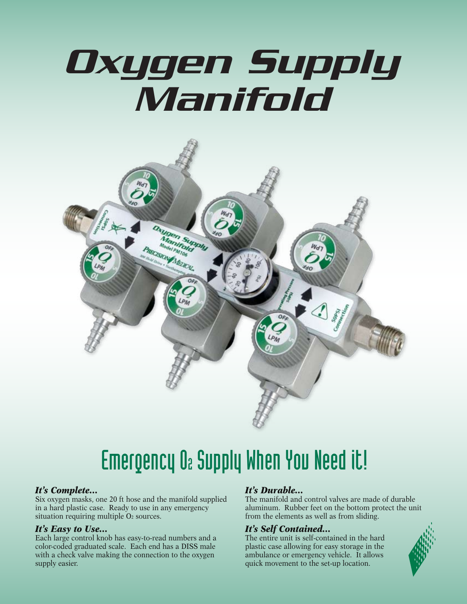# *Oxygen Supply Manifold*



# Emergency O2 Supply When You Need it!

#### *It's Complete…*

Six oxygen masks, one 20 ft hose and the manifold supplied in a hard plastic case. Ready to use in any emergency situation requiring multiple O<sub>2</sub> sources.

#### *It's Easy to Use…*

Each large control knob has easy-to-read numbers and a color-coded graduated scale. Each end has a DISS male with a check valve making the connection to the oxygen supply easier.

#### *It's Durable…*

The manifold and control valves are made of durable aluminum. Rubber feet on the bottom protect the unit from the elements as well as from sliding.

#### *It's Self Contained…*

The entire unit is self-contained in the hard plastic case allowing for easy storage in the ambulance or emergency vehicle. It allows quick movement to the set-up location.